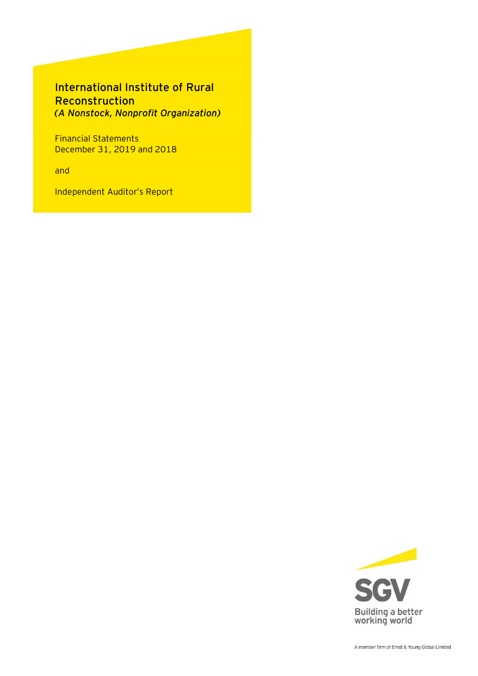# International Institute of Rural Reconstruction *(A Nonstock, Nonprofit Organization)*

Financial Statements December 31, 2019 and 2018

and

Independent Auditor's Report

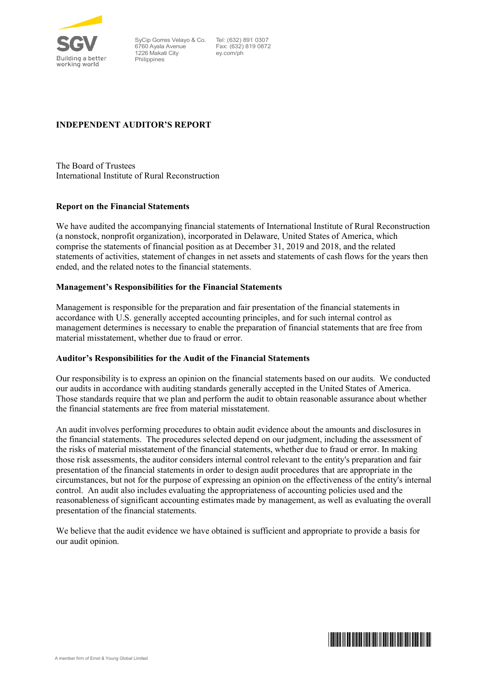

SyCip Gorres Velayo & Co. 6760 Ayala Avenue 1226 Makati City Philippines

Tel: (632) 891 0307 Fax: (632) 819 0872 ey.com/ph

## **INDEPENDENT AUDITOR'S REPORT**

The Board of Trustees International Institute of Rural Reconstruction

## **Report on the Financial Statements**

We have audited the accompanying financial statements of International Institute of Rural Reconstruction (a nonstock, nonprofit organization), incorporated in Delaware, United States of America, which comprise the statements of financial position as at December 31, 2019 and 2018, and the related statements of activities, statement of changes in net assets and statements of cash flows for the years then ended, and the related notes to the financial statements.

## **Management's Responsibilities for the Financial Statements**

Management is responsible for the preparation and fair presentation of the financial statements in accordance with U.S. generally accepted accounting principles, and for such internal control as management determines is necessary to enable the preparation of financial statements that are free from material misstatement, whether due to fraud or error.

## **Auditor's Responsibilities for the Audit of the Financial Statements**

Our responsibility is to express an opinion on the financial statements based on our audits. We conducted our audits in accordance with auditing standards generally accepted in the United States of America. Those standards require that we plan and perform the audit to obtain reasonable assurance about whether the financial statements are free from material misstatement.

An audit involves performing procedures to obtain audit evidence about the amounts and disclosures in the financial statements. The procedures selected depend on our judgment, including the assessment of the risks of material misstatement of the financial statements, whether due to fraud or error. In making those risk assessments, the auditor considers internal control relevant to the entity's preparation and fair presentation of the financial statements in order to design audit procedures that are appropriate in the circumstances, but not for the purpose of expressing an opinion on the effectiveness of the entity's internal control. An audit also includes evaluating the appropriateness of accounting policies used and the reasonableness of significant accounting estimates made by management, as well as evaluating the overall presentation of the financial statements.

We believe that the audit evidence we have obtained is sufficient and appropriate to provide a basis for our audit opinion.

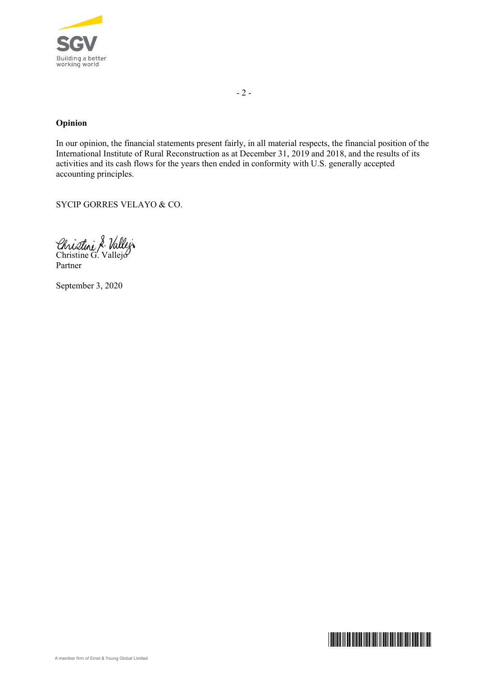

## **Opinion**

In our opinion, the financial statements present fairly, in all material respects, the financial position of the International Institute of Rural Reconstruction as at December 31, 2019 and 2018, and the results of its activities and its cash flows for the years then ended in conformity with U.S. generally accepted accounting principles.

SYCIP GORRES VELAYO & CO.

Christini & Vallej

Partner

September 3, 2020

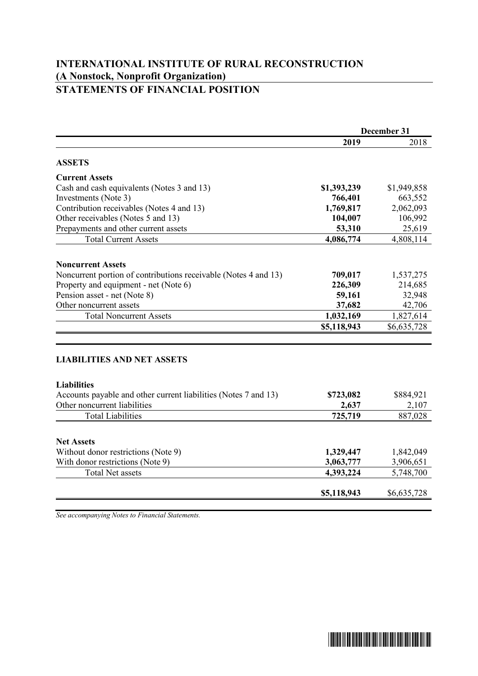## **INTERNATIONAL INSTITUTE OF RURAL RECONSTRUCTION (A Nonstock, Nonprofit Organization) STATEMENTS OF FINANCIAL POSITION**

|                                                                                             | December 31 |             |
|---------------------------------------------------------------------------------------------|-------------|-------------|
|                                                                                             | 2019        | 2018        |
| <b>ASSETS</b>                                                                               |             |             |
| <b>Current Assets</b>                                                                       |             |             |
| Cash and cash equivalents (Notes 3 and 13)                                                  | \$1,393,239 | \$1,949,858 |
| Investments (Note 3)                                                                        | 766,401     | 663,552     |
| Contribution receivables (Notes 4 and 13)                                                   | 1,769,817   | 2,062,093   |
| Other receivables (Notes 5 and 13)                                                          | 104,007     | 106,992     |
| Prepayments and other current assets                                                        | 53,310      | 25,619      |
| <b>Total Current Assets</b>                                                                 | 4,086,774   | 4,808,114   |
|                                                                                             |             |             |
| <b>Noncurrent Assets</b><br>Noncurrent portion of contributions receivable (Notes 4 and 13) | 709,017     | 1,537,275   |
| Property and equipment - net (Note 6)                                                       | 226,309     | 214,685     |
| Pension asset - net (Note 8)                                                                | 59,161      | 32,948      |
| Other noncurrent assets                                                                     | 37,682      | 42,706      |
| <b>Total Noncurrent Assets</b>                                                              | 1,032,169   | 1,827,614   |
|                                                                                             | \$5,118,943 | \$6,635,728 |
|                                                                                             |             |             |
| <b>LIABILITIES AND NET ASSETS</b>                                                           |             |             |
| <b>Liabilities</b>                                                                          |             |             |
| Accounts payable and other current liabilities (Notes 7 and 13)                             | \$723,082   | \$884,921   |
| Other noncurrent liabilities                                                                | 2,637       | 2,107       |
| <b>Total Liabilities</b>                                                                    | 725,719     | 887,028     |
| <b>Net Assets</b>                                                                           |             |             |
| Without donor restrictions (Note 9)                                                         | 1,329,447   | 1,842,049   |
| With donor restrictions (Note 9)                                                            | 3,063,777   | 3,906,651   |
| <b>Total Net assets</b>                                                                     | 4,393,224   | 5,748,700   |
|                                                                                             |             |             |
|                                                                                             | \$5,118,943 | \$6,635,728 |

*See accompanying Notes to Financial Statements.*

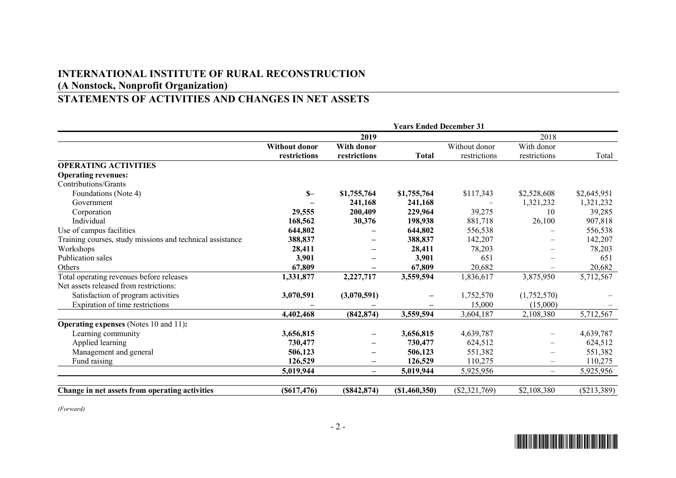# **INTERNATIONAL INSTITUTE OF RURAL RECONSTRUCTION (A Nonstock, Nonprofit Organization)**

# **STATEMENTS OF ACTIVITIES AND CHANGES IN NET ASSETS**

|                                                           | <b>Years Ended December 31</b> |                          |                 |                 |                          |               |
|-----------------------------------------------------------|--------------------------------|--------------------------|-----------------|-----------------|--------------------------|---------------|
|                                                           |                                | 2019                     |                 |                 | 2018                     |               |
|                                                           | <b>Without donor</b>           | <b>With donor</b>        |                 | Without donor   | With donor               |               |
|                                                           | restrictions                   | restrictions             | <b>Total</b>    | restrictions    | restrictions             | Total         |
| <b>OPERATING ACTIVITIES</b>                               |                                |                          |                 |                 |                          |               |
| <b>Operating revenues:</b>                                |                                |                          |                 |                 |                          |               |
| Contributions/Grants                                      |                                |                          |                 |                 |                          |               |
| Foundations (Note 4)                                      | $S-$                           | \$1,755,764              | \$1,755,764     | \$117,343       | \$2,528,608              | \$2,645,951   |
| Government                                                |                                | 241,168                  | 241,168         |                 | 1,321,232                | 1,321,232     |
| Corporation                                               | 29,555                         | 200,409                  | 229,964         | 39,275          | 10                       | 39,285        |
| Individual                                                | 168,562                        | 30,376                   | 198,938         | 881,718         | 26,100                   | 907,818       |
| Use of campus facilities                                  | 644,802                        |                          | 644,802         | 556,538         |                          | 556,538       |
| Training courses, study missions and technical assistance | 388,837                        |                          | 388,837         | 142,207         |                          | 142,207       |
| Workshops                                                 | 28,411                         |                          | 28,411          | 78,203          |                          | 78,203        |
| Publication sales                                         | 3,901                          |                          | 3,901           | 651             |                          | 651           |
| Others                                                    | 67,809                         |                          | 67,809          | 20,682          |                          | 20,682        |
| Total operating revenues before releases                  | 1,331,877                      | 2,227,717                | 3,559,594       | 1,836,617       | 3,875,950                | 5,712,567     |
| Net assets released from restrictions:                    |                                |                          |                 |                 |                          |               |
| Satisfaction of program activities                        | 3,070,591                      | (3,070,591)              |                 | 1,752,570       | (1,752,570)              |               |
| Expiration of time restrictions                           |                                |                          |                 | 15,000          | (15,000)                 |               |
|                                                           | 4,402,468                      | (842, 874)               | 3,559,594       | 3,604,187       | 2,108,380                | 5,712,567     |
| <b>Operating expenses</b> (Notes 10 and 11):              |                                |                          |                 |                 |                          |               |
| Learning community                                        | 3,656,815                      |                          | 3,656,815       | 4,639,787       |                          | 4,639,787     |
| Applied learning                                          | 730,477                        |                          | 730,477         | 624,512         |                          | 624,512       |
| Management and general                                    | 506,123                        |                          | 506,123         | 551,382         | $\overline{\phantom{0}}$ | 551,382       |
| Fund raising                                              | 126,529                        | $\overline{\phantom{m}}$ | 126,529         | 110,275         | $\overline{\phantom{0}}$ | 110,275       |
|                                                           | 5,019,944                      | $\qquad \qquad -$        | 5,019,944       | 5,925,956       |                          | 5,925,956     |
|                                                           |                                |                          |                 |                 |                          |               |
| Change in net assets from operating activities            | $(\$617,476)$                  | (S842, 874)              | $(\$1,460,350)$ | $(\$2,321,769)$ | \$2,108,380              | $(\$213,389)$ |

*(Forward)*

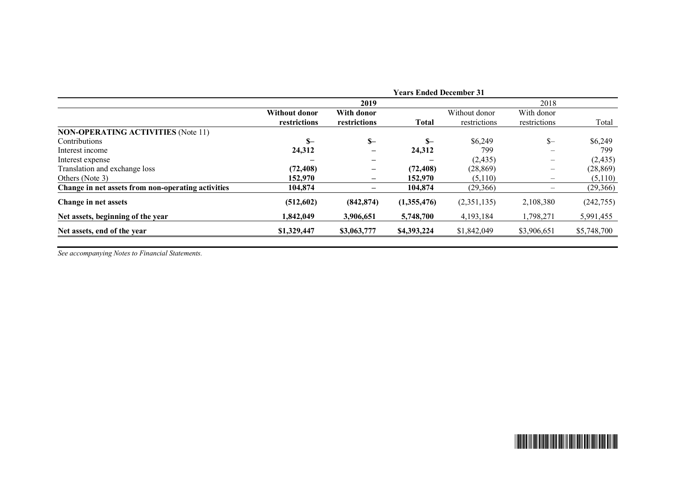|                                                    |                                      |                            | <b>Years Ended December 31</b> |                               |                            |             |
|----------------------------------------------------|--------------------------------------|----------------------------|--------------------------------|-------------------------------|----------------------------|-------------|
|                                                    |                                      | 2019                       |                                |                               | 2018                       |             |
|                                                    | <b>Without donor</b><br>restrictions | With donor<br>restrictions | <b>Total</b>                   | Without donor<br>restrictions | With donor<br>restrictions | Total       |
| <b>NON-OPERATING ACTIVITIES (Note 11)</b>          |                                      |                            |                                |                               |                            |             |
| Contributions                                      | $S-$                                 | $S-$                       | $S-$                           | \$6,249                       | $S-$                       | \$6,249     |
| Interest income                                    | 24,312                               |                            | 24,312                         | 799                           |                            | 799         |
| Interest expense                                   |                                      |                            |                                | (2, 435)                      | —                          | (2, 435)    |
| Translation and exchange loss                      | (72, 408)                            |                            | (72, 408)                      | (28, 869)                     |                            | (28, 869)   |
| Others (Note 3)                                    | 152,970                              | $\overline{\phantom{m}}$   | 152,970                        | (5,110)                       | $\overline{\phantom{m}}$   | (5,110)     |
| Change in net assets from non-operating activities | 104,874                              | $\qquad \qquad$            | 104,874                        | (29,366)                      |                            | (29,366)    |
| Change in net assets                               | (512, 602)                           | (842, 874)                 | (1,355,476)                    | (2,351,135)                   | 2,108,380                  | (242, 755)  |
| Net assets, beginning of the year                  | 1,842,049                            | 3,906,651                  | 5,748,700                      | 4,193,184                     | 1,798,271                  | 5,991,455   |
| Net assets, end of the year                        | \$1,329,447                          | \$3,063,777                | \$4,393,224                    | \$1,842,049                   | \$3,906,651                | \$5,748,700 |

*See accompanying Notes to Financial Statements.*

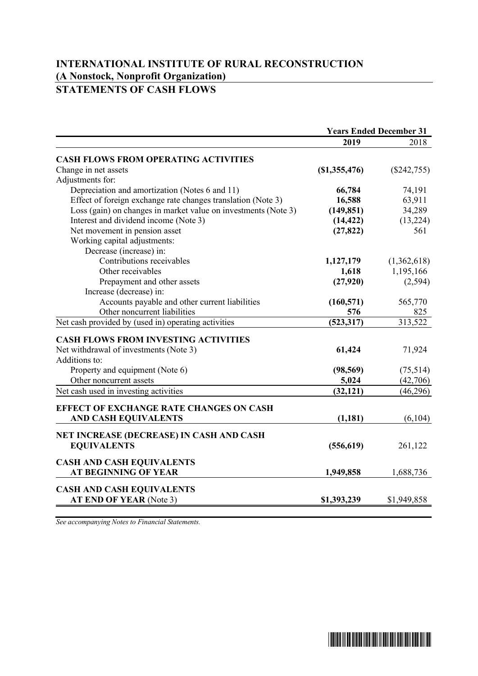## **INTERNATIONAL INSTITUTE OF RURAL RECONSTRUCTION (A Nonstock, Nonprofit Organization) STATEMENTS OF CASH FLOWS**

|                                                                | <b>Years Ended December 31</b> |               |
|----------------------------------------------------------------|--------------------------------|---------------|
|                                                                | 2019                           | 2018          |
| <b>CASH FLOWS FROM OPERATING ACTIVITIES</b>                    |                                |               |
| Change in net assets                                           | (S1, 355, 476)                 | $(\$242,755)$ |
| Adjustments for:                                               |                                |               |
| Depreciation and amortization (Notes 6 and 11)                 | 66,784                         | 74,191        |
| Effect of foreign exchange rate changes translation (Note 3)   | 16,588                         | 63,911        |
| Loss (gain) on changes in market value on investments (Note 3) | (149, 851)                     | 34,289        |
| Interest and dividend income (Note 3)                          | (14, 422)                      | (13,224)      |
| Net movement in pension asset                                  | (27, 822)                      | 561           |
| Working capital adjustments:                                   |                                |               |
| Decrease (increase) in:                                        |                                |               |
| Contributions receivables                                      | 1,127,179                      | (1,362,618)   |
| Other receivables                                              | 1,618                          | 1,195,166     |
| Prepayment and other assets                                    | (27,920)                       | (2,594)       |
| Increase (decrease) in:                                        |                                |               |
| Accounts payable and other current liabilities                 | (160, 571)                     | 565,770       |
| Other noncurrent liabilities                                   | 576                            | 825           |
| Net cash provided by (used in) operating activities            | (523, 317)                     | 313,522       |
| <b>CASH FLOWS FROM INVESTING ACTIVITIES</b>                    |                                |               |
| Net withdrawal of investments (Note 3)                         | 61,424                         | 71,924        |
| Additions to:                                                  |                                |               |
| Property and equipment (Note 6)                                | (98, 569)                      | (75,514)      |
| Other noncurrent assets                                        | 5,024                          | (42,706)      |
| Net cash used in investing activities                          | (32, 121)                      | (46,296)      |
|                                                                |                                |               |
| <b>EFFECT OF EXCHANGE RATE CHANGES ON CASH</b>                 |                                |               |
| <b>AND CASH EQUIVALENTS</b>                                    | (1,181)                        | (6,104)       |
| NET INCREASE (DECREASE) IN CASH AND CASH                       |                                |               |
| <b>EQUIVALENTS</b>                                             | (556, 619)                     | 261,122       |
|                                                                |                                |               |
| <b>CASH AND CASH EQUIVALENTS</b>                               |                                |               |
| <b>AT BEGINNING OF YEAR</b>                                    | 1,949,858                      | 1,688,736     |
| <b>CASH AND CASH EQUIVALENTS</b>                               |                                |               |
| AT END OF YEAR (Note 3)                                        | \$1,393,239                    | \$1,949,858   |
|                                                                |                                |               |

*See accompanying Notes to Financial Statements.*

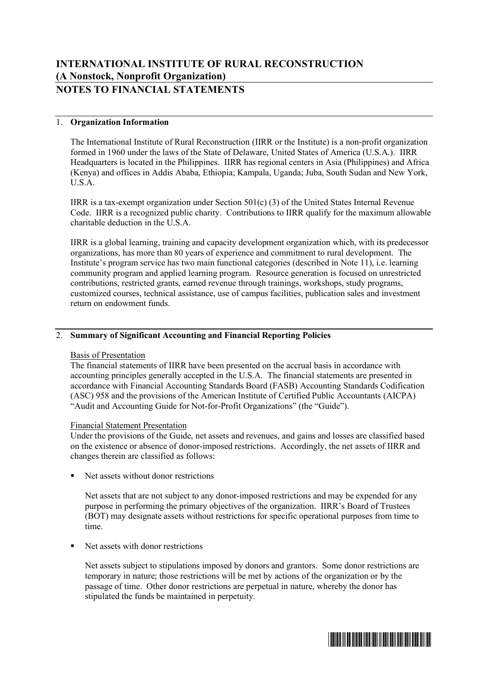## 1. **Organization Information**

The International Institute of Rural Reconstruction (IIRR or the Institute) is a non-profit organization formed in 1960 under the laws of the State of Delaware, United States of America (U.S.A.). IIRR Headquarters is located in the Philippines. IIRR has regional centers in Asia (Philippines) and Africa (Kenya) and offices in Addis Ababa, Ethiopia; Kampala, Uganda; Juba, South Sudan and New York, U.S.A.

IIRR is a tax-exempt organization under Section 501(c) (3) of the United States Internal Revenue Code. IIRR is a recognized public charity. Contributions to IIRR qualify for the maximum allowable charitable deduction in the U.S.A.

IIRR is a global learning, training and capacity development organization which, with its predecessor organizations, has more than 80 years of experience and commitment to rural development. The Institute's program service has two main functional categories (described in Note 11), i.e. learning community program and applied learning program. Resource generation is focused on unrestricted contributions, restricted grants, earned revenue through trainings, workshops, study programs, customized courses, technical assistance, use of campus facilities, publication sales and investment return on endowment funds.

## 2. **Summary of Significant Accounting and Financial Reporting Policies**

#### Basis of Presentation

The financial statements of IIRR have been presented on the accrual basis in accordance with accounting principles generally accepted in the U.S.A. The financial statements are presented in accordance with Financial Accounting Standards Board (FASB) Accounting Standards Codification (ASC) 958 and the provisions of the American Institute of Certified Public Accountants (AICPA) "Audit and Accounting Guide for Not-for-Profit Organizations" (the "Guide").

#### Financial Statement Presentation

Under the provisions of the Guide, net assets and revenues, and gains and losses are classified based on the existence or absence of donor-imposed restrictions. Accordingly, the net assets of IIRR and changes therein are classified as follows:

§ Net assets without donor restrictions

Net assets that are not subject to any donor-imposed restrictions and may be expended for any purpose in performing the primary objectives of the organization. IIRR's Board of Trustees (BOT) may designate assets without restrictions for specific operational purposes from time to time.

■ Net assets with donor restrictions

Net assets subject to stipulations imposed by donors and grantors. Some donor restrictions are temporary in nature; those restrictions will be met by actions of the organization or by the passage of time. Other donor restrictions are perpetual in nature, whereby the donor has stipulated the funds be maintained in perpetuity.

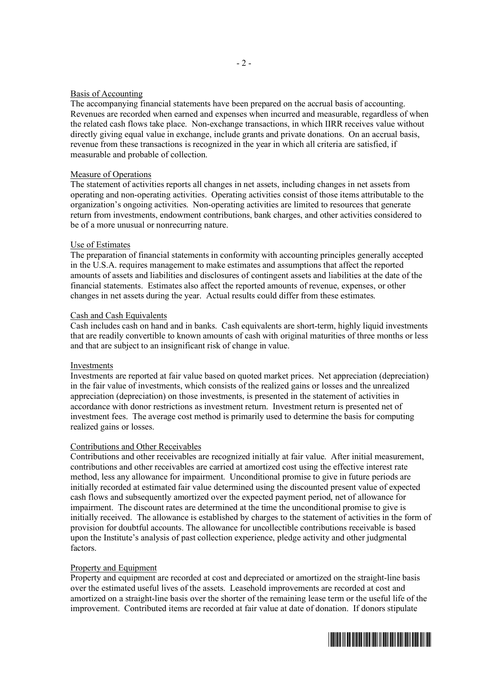#### Basis of Accounting

The accompanying financial statements have been prepared on the accrual basis of accounting. Revenues are recorded when earned and expenses when incurred and measurable, regardless of when the related cash flows take place. Non-exchange transactions, in which IIRR receives value without directly giving equal value in exchange, include grants and private donations. On an accrual basis, revenue from these transactions is recognized in the year in which all criteria are satisfied, if measurable and probable of collection.

## Measure of Operations

The statement of activities reports all changes in net assets, including changes in net assets from operating and non-operating activities. Operating activities consist of those items attributable to the organization's ongoing activities. Non-operating activities are limited to resources that generate return from investments, endowment contributions, bank charges, and other activities considered to be of a more unusual or nonrecurring nature.

#### Use of Estimates

The preparation of financial statements in conformity with accounting principles generally accepted in the U.S.A. requires management to make estimates and assumptions that affect the reported amounts of assets and liabilities and disclosures of contingent assets and liabilities at the date of the financial statements. Estimates also affect the reported amounts of revenue, expenses, or other changes in net assets during the year. Actual results could differ from these estimates.

#### Cash and Cash Equivalents

Cash includes cash on hand and in banks. Cash equivalents are short-term, highly liquid investments that are readily convertible to known amounts of cash with original maturities of three months or less and that are subject to an insignificant risk of change in value.

#### Investments

Investments are reported at fair value based on quoted market prices. Net appreciation (depreciation) in the fair value of investments, which consists of the realized gains or losses and the unrealized appreciation (depreciation) on those investments, is presented in the statement of activities in accordance with donor restrictions as investment return. Investment return is presented net of investment fees. The average cost method is primarily used to determine the basis for computing realized gains or losses.

#### Contributions and Other Receivables

Contributions and other receivables are recognized initially at fair value. After initial measurement, contributions and other receivables are carried at amortized cost using the effective interest rate method, less any allowance for impairment. Unconditional promise to give in future periods are initially recorded at estimated fair value determined using the discounted present value of expected cash flows and subsequently amortized over the expected payment period, net of allowance for impairment. The discount rates are determined at the time the unconditional promise to give is initially received. The allowance is established by charges to the statement of activities in the form of provision for doubtful accounts. The allowance for uncollectible contributions receivable is based upon the Institute's analysis of past collection experience, pledge activity and other judgmental factors.

## Property and Equipment

Property and equipment are recorded at cost and depreciated or amortized on the straight-line basis over the estimated useful lives of the assets. Leasehold improvements are recorded at cost and amortized on a straight-line basis over the shorter of the remaining lease term or the useful life of the improvement. Contributed items are recorded at fair value at date of donation. If donors stipulate

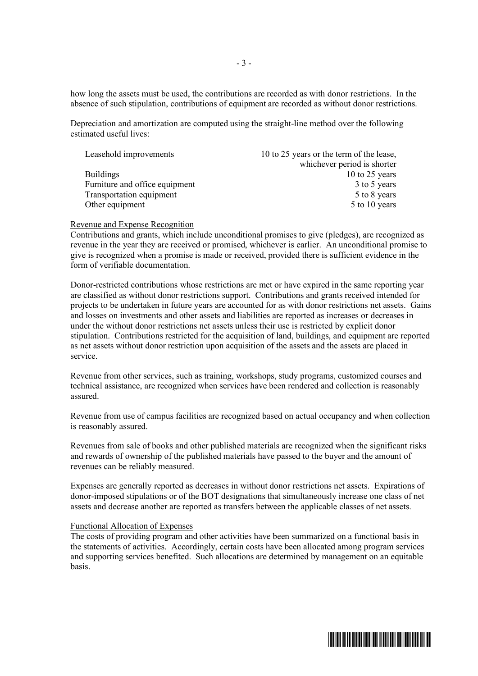how long the assets must be used, the contributions are recorded as with donor restrictions. In the absence of such stipulation, contributions of equipment are recorded as without donor restrictions.

Depreciation and amortization are computed using the straight-line method over the following estimated useful lives:

| 10 to 25 years or the term of the lease, |
|------------------------------------------|
| whichever period is shorter              |
| 10 to 25 years                           |
| 3 to 5 years                             |
| 5 to 8 years                             |
| 5 to 10 years                            |
|                                          |

#### Revenue and Expense Recognition

Contributions and grants, which include unconditional promises to give (pledges), are recognized as revenue in the year they are received or promised, whichever is earlier. An unconditional promise to give is recognized when a promise is made or received, provided there is sufficient evidence in the form of verifiable documentation.

Donor-restricted contributions whose restrictions are met or have expired in the same reporting year are classified as without donor restrictions support. Contributions and grants received intended for projects to be undertaken in future years are accounted for as with donor restrictions net assets. Gains and losses on investments and other assets and liabilities are reported as increases or decreases in under the without donor restrictions net assets unless their use is restricted by explicit donor stipulation. Contributions restricted for the acquisition of land, buildings, and equipment are reported as net assets without donor restriction upon acquisition of the assets and the assets are placed in service.

Revenue from other services, such as training, workshops, study programs, customized courses and technical assistance, are recognized when services have been rendered and collection is reasonably assured.

Revenue from use of campus facilities are recognized based on actual occupancy and when collection is reasonably assured.

Revenues from sale of books and other published materials are recognized when the significant risks and rewards of ownership of the published materials have passed to the buyer and the amount of revenues can be reliably measured.

Expenses are generally reported as decreases in without donor restrictions net assets. Expirations of donor-imposed stipulations or of the BOT designations that simultaneously increase one class of net assets and decrease another are reported as transfers between the applicable classes of net assets.

#### Functional Allocation of Expenses

The costs of providing program and other activities have been summarized on a functional basis in the statements of activities. Accordingly, certain costs have been allocated among program services and supporting services benefited. Such allocations are determined by management on an equitable basis.

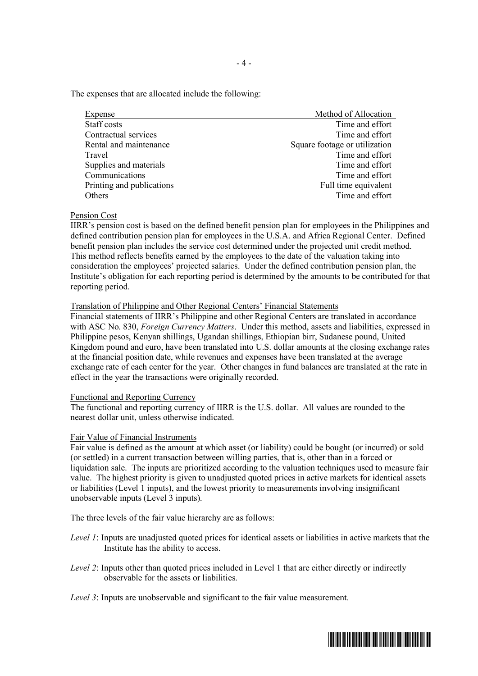The expenses that are allocated include the following:

| Expense                   | Method of Allocation          |
|---------------------------|-------------------------------|
| Staff costs               | Time and effort               |
| Contractual services      | Time and effort               |
| Rental and maintenance    | Square footage or utilization |
| Travel                    | Time and effort               |
| Supplies and materials    | Time and effort               |
| Communications            | Time and effort               |
| Printing and publications | Full time equivalent          |
| Others                    | Time and effort               |

#### Pension Cost

IIRR's pension cost is based on the defined benefit pension plan for employees in the Philippines and defined contribution pension plan for employees in the U.S.A. and Africa Regional Center. Defined benefit pension plan includes the service cost determined under the projected unit credit method. This method reflects benefits earned by the employees to the date of the valuation taking into consideration the employees' projected salaries. Under the defined contribution pension plan, the Institute's obligation for each reporting period is determined by the amounts to be contributed for that reporting period.

#### Translation of Philippine and Other Regional Centers' Financial Statements

Financial statements of IIRR's Philippine and other Regional Centers are translated in accordance with ASC No. 830, *Foreign Currency Matters*. Under this method, assets and liabilities, expressed in Philippine pesos, Kenyan shillings, Ugandan shillings, Ethiopian birr, Sudanese pound, United Kingdom pound and euro, have been translated into U.S. dollar amounts at the closing exchange rates at the financial position date, while revenues and expenses have been translated at the average exchange rate of each center for the year. Other changes in fund balances are translated at the rate in effect in the year the transactions were originally recorded.

#### Functional and Reporting Currency

The functional and reporting currency of IIRR is the U.S. dollar. All values are rounded to the nearest dollar unit, unless otherwise indicated.

## Fair Value of Financial Instruments

Fair value is defined as the amount at which asset (or liability) could be bought (or incurred) or sold (or settled) in a current transaction between willing parties, that is, other than in a forced or liquidation sale. The inputs are prioritized according to the valuation techniques used to measure fair value. The highest priority is given to unadjusted quoted prices in active markets for identical assets or liabilities (Level 1 inputs), and the lowest priority to measurements involving insignificant unobservable inputs (Level 3 inputs).

The three levels of the fair value hierarchy are as follows:

- *Level 1*: Inputs are unadjusted quoted prices for identical assets or liabilities in active markets that the Institute has the ability to access.
- *Level 2*: Inputs other than quoted prices included in Level 1 that are either directly or indirectly observable for the assets or liabilities.
- *Level 3*: Inputs are unobservable and significant to the fair value measurement.

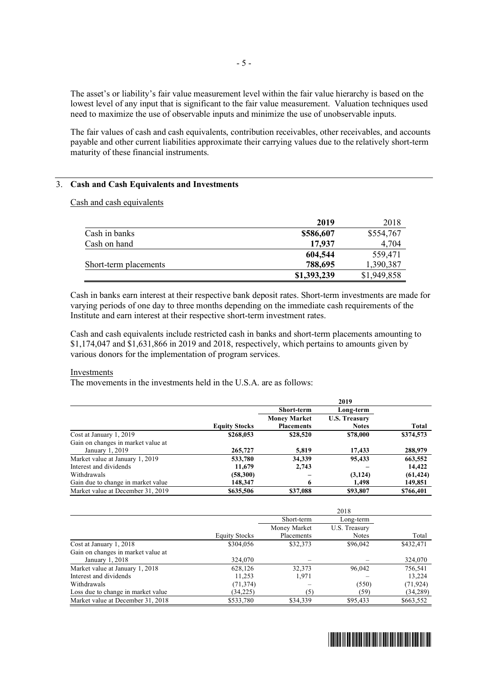The asset's or liability's fair value measurement level within the fair value hierarchy is based on the lowest level of any input that is significant to the fair value measurement. Valuation techniques used need to maximize the use of observable inputs and minimize the use of unobservable inputs.

The fair values of cash and cash equivalents, contribution receivables, other receivables, and accounts payable and other current liabilities approximate their carrying values due to the relatively short-term maturity of these financial instruments.

## 3. **Cash and Cash Equivalents and Investments**

Cash and cash equivalents

|                       | 2019        | 2018        |
|-----------------------|-------------|-------------|
| Cash in banks         | \$586,607   | \$554,767   |
| Cash on hand          | 17.937      | 4,704       |
|                       | 604,544     | 559,471     |
| Short-term placements | 788,695     | 1,390,387   |
|                       | \$1,393,239 | \$1,949,858 |

Cash in banks earn interest at their respective bank deposit rates. Short-term investments are made for varying periods of one day to three months depending on the immediate cash requirements of the Institute and earn interest at their respective short-term investment rates.

Cash and cash equivalents include restricted cash in banks and short-term placements amounting to \$1,174,047 and \$1,631,866 in 2019 and 2018, respectively, which pertains to amounts given by various donors for the implementation of program services.

#### Investments

The movements in the investments held in the U.S.A. are as follows:

|                                    |                      |                     | 2019                 |           |
|------------------------------------|----------------------|---------------------|----------------------|-----------|
|                                    |                      | <b>Short-term</b>   | Long-term            |           |
|                                    |                      | <b>Money Market</b> | <b>U.S. Treasury</b> |           |
|                                    | <b>Equity Stocks</b> | <b>Placements</b>   | <b>Notes</b>         | Total     |
| Cost at January 1, 2019            | \$268,053            | \$28,520            | \$78,000             | \$374,573 |
| Gain on changes in market value at |                      |                     |                      |           |
| January 1, 2019                    | 265,727              | 5,819               | 17,433               | 288,979   |
| Market value at January 1, 2019    | 533,780              | 34,339              | 95,433               | 663,552   |
| Interest and dividends             | 11,679               | 2,743               |                      | 14,422    |
| Withdrawals                        | (58,300)             |                     | (3, 124)             | (61, 424) |
| Gain due to change in market value | 148,347              | 6                   | 1,498                | 149,851   |
| Market value at December 31, 2019  | \$635,506            | \$37,088            | \$93,807             | \$766,401 |

|                                    |                      |              | 2018          |           |
|------------------------------------|----------------------|--------------|---------------|-----------|
|                                    |                      | Short-term   | Long-term     |           |
|                                    |                      | Money Market | U.S. Treasury |           |
|                                    | <b>Equity Stocks</b> | Placements   | Notes         | Total     |
| Cost at January 1, 2018            | \$304,056            | \$32,373     | \$96,042      | \$432,471 |
| Gain on changes in market value at |                      |              |               |           |
| January 1, 2018                    | 324,070              |              |               | 324,070   |
| Market value at January 1, 2018    | 628,126              | 32,373       | 96,042        | 756,541   |
| Interest and dividends             | 11,253               | 1,971        |               | 13,224    |
| Withdrawals                        | (71, 374)            |              | (550)         | (71, 924) |
| Loss due to change in market value | (34, 225)            | (5           | (59)          | (34, 289) |
| Market value at December 31, 2018  | \$533,780            | \$34,339     | \$95,433      | \$663,552 |

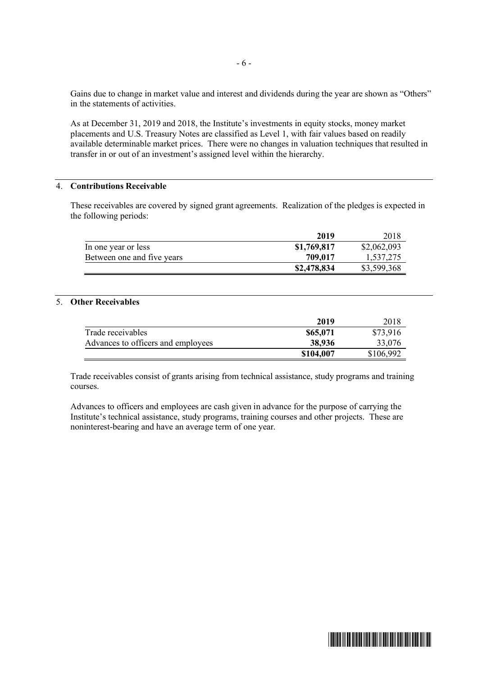Gains due to change in market value and interest and dividends during the year are shown as "Others" in the statements of activities.

As at December 31, 2019 and 2018, the Institute's investments in equity stocks, money market placements and U.S. Treasury Notes are classified as Level 1, with fair values based on readily available determinable market prices. There were no changes in valuation techniques that resulted in transfer in or out of an investment's assigned level within the hierarchy.

## 4. **Contributions Receivable**

These receivables are covered by signed grant agreements. Realization of the pledges is expected in the following periods:

|                            | 2019        | 2018        |
|----------------------------|-------------|-------------|
| In one year or less        | \$1,769,817 | \$2,062,093 |
| Between one and five years | 709.017     | 1,537,275   |
|                            | \$2,478,834 | \$3,599,368 |

## 5. **Other Receivables**

| 2019      | 2018      |
|-----------|-----------|
| \$65,071  | \$73,916  |
| 38,936    | 33,076    |
| \$104,007 | \$106,992 |
|           |           |

Trade receivables consist of grants arising from technical assistance, study programs and training courses.

Advances to officers and employees are cash given in advance for the purpose of carrying the Institute's technical assistance, study programs, training courses and other projects. These are noninterest-bearing and have an average term of one year.

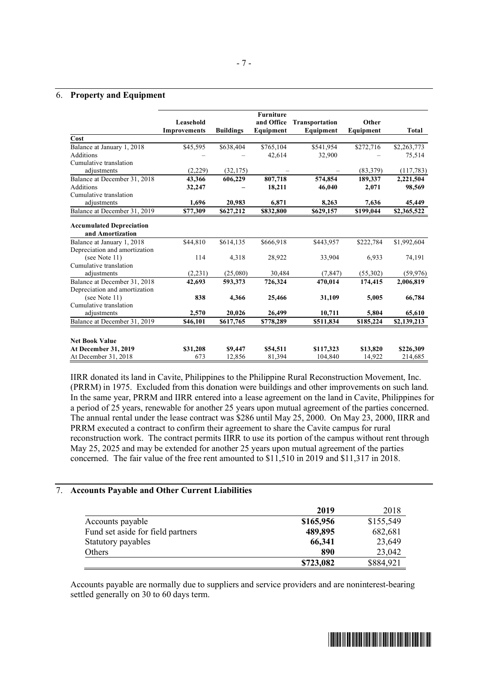#### 6. **Property and Equipment**

|                                                     | Leasehold<br><b>Improvements</b> | <b>Buildings</b> | <b>Furniture</b><br>and Office<br>Equipment | <b>Transportation</b><br>Equipment | Other<br>Equipment | Total       |
|-----------------------------------------------------|----------------------------------|------------------|---------------------------------------------|------------------------------------|--------------------|-------------|
| Cost                                                |                                  |                  |                                             |                                    |                    |             |
| Balance at January 1, 2018                          | \$45,595                         | \$638,404        | \$765,104                                   | \$541,954                          | \$272,716          | \$2,263,773 |
| <b>Additions</b>                                    |                                  |                  | 42,614                                      | 32,900                             |                    | 75,514      |
| Cumulative translation                              |                                  |                  |                                             |                                    |                    |             |
| adjustments                                         | (2,229)                          | (32, 175)        |                                             |                                    | (83, 379)          | (117,783)   |
| Balance at December 31, 2018                        | 43,366                           | 606,229          | 807,718                                     | 574,854                            | 189,337            | 2,221,504   |
| Additions                                           | 32,247                           |                  | 18,211                                      | 46,040                             | 2,071              | 98,569      |
| Cumulative translation                              |                                  |                  |                                             |                                    |                    |             |
| adjustments                                         | 1,696                            | 20,983           | 6,871                                       | 8,263                              | 7,636              | 45,449      |
| Balance at December 31, 2019                        | \$77,309                         | \$627,212        | \$832,800                                   | \$629,157                          | \$199,044          | \$2,365,522 |
| <b>Accumulated Depreciation</b><br>and Amortization |                                  |                  |                                             |                                    |                    |             |
| Balance at January 1, 2018                          | \$44,810                         | \$614,135        | \$666,918                                   | \$443,957                          | \$222,784          | \$1,992,604 |
| Depreciation and amortization                       |                                  |                  |                                             |                                    |                    |             |
| (see Note 11)                                       | 114                              | 4,318            | 28,922                                      | 33,904                             | 6,933              | 74,191      |
| Cumulative translation                              |                                  |                  |                                             |                                    |                    |             |
| adjustments                                         | (2,231)                          | (25,080)         | 30,484                                      | (7, 847)                           | (55,302)           | (59, 976)   |
| Balance at December 31, 2018                        | 42,693                           | 593,373          | 726,324                                     | 470,014                            | 174,415            | 2,006,819   |
| Depreciation and amortization                       |                                  |                  |                                             |                                    |                    |             |
| (see Note 11)                                       | 838                              | 4,366            | 25,466                                      | 31,109                             | 5,005              | 66,784      |
| Cumulative translation                              |                                  |                  |                                             |                                    |                    |             |
| adjustments                                         | 2,570                            | 20,026           | 26,499                                      | 10,711                             | 5,804              | 65,610      |
| Balance at December 31, 2019                        | \$46,101                         | \$617,765        | \$778,289                                   | \$511,834                          | \$185,224          | \$2,139,213 |
| <b>Net Book Value</b>                               |                                  |                  |                                             |                                    |                    |             |
| At December 31, 2019                                | \$31,208                         | \$9,447          | \$54,511                                    | \$117,323                          | \$13,820           | \$226,309   |
| At December 31, 2018                                | 673                              | 12.856           | 81,394                                      | 104,840                            | 14,922             | 214,685     |

IIRR donated its land in Cavite, Philippines to the Philippine Rural Reconstruction Movement, Inc. (PRRM) in 1975. Excluded from this donation were buildings and other improvements on such land. In the same year, PRRM and IIRR entered into a lease agreement on the land in Cavite, Philippines for a period of 25 years, renewable for another 25 years upon mutual agreement of the parties concerned. The annual rental under the lease contract was \$286 until May 25, 2000. On May 23, 2000, IIRR and PRRM executed a contract to confirm their agreement to share the Cavite campus for rural reconstruction work. The contract permits IIRR to use its portion of the campus without rent through May 25, 2025 and may be extended for another 25 years upon mutual agreement of the parties concerned. The fair value of the free rent amounted to \$11,510 in 2019 and \$11,317 in 2018.

#### 7. **Accounts Payable and Other Current Liabilities**

|                                   | 2019      | 2018      |
|-----------------------------------|-----------|-----------|
| Accounts payable                  | \$165,956 | \$155,549 |
| Fund set aside for field partners | 489,895   | 682,681   |
| Statutory payables                | 66,341    | 23,649    |
| Others                            | 890       | 23,042    |
|                                   | \$723,082 | \$884,921 |

Accounts payable are normally due to suppliers and service providers and are noninterest-bearing settled generally on 30 to 60 days term.

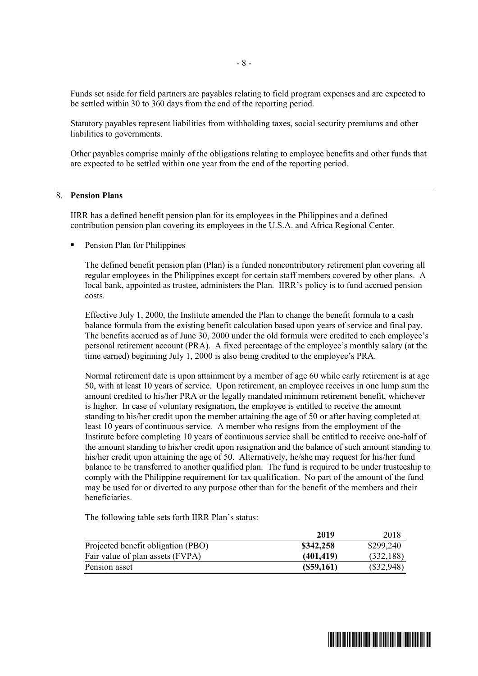Funds set aside for field partners are payables relating to field program expenses and are expected to be settled within 30 to 360 days from the end of the reporting period.

Statutory payables represent liabilities from withholding taxes, social security premiums and other liabilities to governments.

Other payables comprise mainly of the obligations relating to employee benefits and other funds that are expected to be settled within one year from the end of the reporting period.

#### 8. **Pension Plans**

IIRR has a defined benefit pension plan for its employees in the Philippines and a defined contribution pension plan covering its employees in the U.S.A. and Africa Regional Center.

■ Pension Plan for Philippines

The defined benefit pension plan (Plan) is a funded noncontributory retirement plan covering all regular employees in the Philippines except for certain staff members covered by other plans. A local bank, appointed as trustee, administers the Plan. IIRR's policy is to fund accrued pension costs.

Effective July 1, 2000, the Institute amended the Plan to change the benefit formula to a cash balance formula from the existing benefit calculation based upon years of service and final pay. The benefits accrued as of June 30, 2000 under the old formula were credited to each employee's personal retirement account (PRA). A fixed percentage of the employee's monthly salary (at the time earned) beginning July 1, 2000 is also being credited to the employee's PRA.

Normal retirement date is upon attainment by a member of age 60 while early retirement is at age 50, with at least 10 years of service. Upon retirement, an employee receives in one lump sum the amount credited to his/her PRA or the legally mandated minimum retirement benefit, whichever is higher. In case of voluntary resignation, the employee is entitled to receive the amount standing to his/her credit upon the member attaining the age of 50 or after having completed at least 10 years of continuous service. A member who resigns from the employment of the Institute before completing 10 years of continuous service shall be entitled to receive one-half of the amount standing to his/her credit upon resignation and the balance of such amount standing to his/her credit upon attaining the age of 50. Alternatively, he/she may request for his/her fund balance to be transferred to another qualified plan. The fund is required to be under trusteeship to comply with the Philippine requirement for tax qualification. No part of the amount of the fund may be used for or diverted to any purpose other than for the benefit of the members and their beneficiaries.

The following table sets forth IIRR Plan's status:

|                                    | 2019       | 2018         |
|------------------------------------|------------|--------------|
| Projected benefit obligation (PBO) | \$342,258  | \$299,240    |
| Fair value of plan assets (FVPA)   | (401, 419) | (332, 188)   |
| Pension asset                      | (S59,161)  | $(\$32,948)$ |

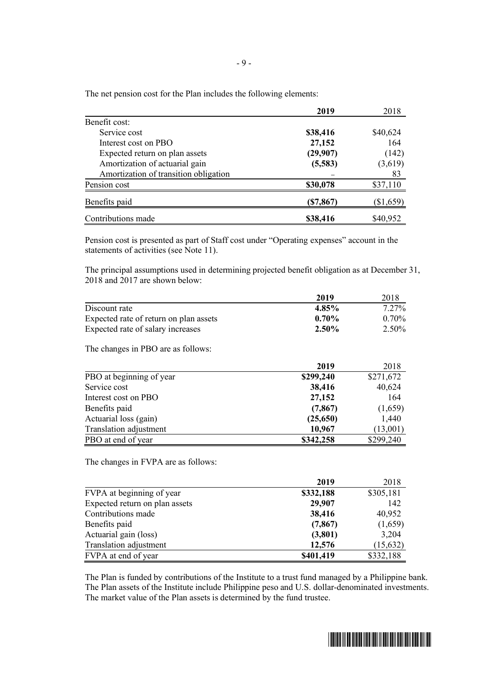|                                       | 2019      | 2018        |
|---------------------------------------|-----------|-------------|
| Benefit cost:                         |           |             |
| Service cost                          | \$38,416  | \$40,624    |
| Interest cost on PBO                  | 27,152    | 164         |
| Expected return on plan assets        | (29,907)  | (142)       |
| Amortization of actuarial gain        | (5,583)   | (3,619)     |
| Amortization of transition obligation |           | 83          |
| Pension cost                          | \$30,078  | \$37,110    |
| Benefits paid                         | (\$7,867) | $(\$1,659)$ |
| Contributions made                    | \$38,416  | \$40,952    |

The net pension cost for the Plan includes the following elements:

Pension cost is presented as part of Staff cost under "Operating expenses" account in the statements of activities (see Note 11).

The principal assumptions used in determining projected benefit obligation as at December 31, 2018 and 2017 are shown below:

|                                        | 2019     | 2018     |
|----------------------------------------|----------|----------|
| Discount rate                          | 4.85%    | $7.27\%$ |
| Expected rate of return on plan assets | $0.70\%$ | $0.70\%$ |
| Expected rate of salary increases      | 2.50%    | 2.50%    |
| The changes in PBO are as follows:     |          |          |

|                          | 2019      | 2018      |
|--------------------------|-----------|-----------|
| PBO at beginning of year | \$299,240 | \$271,672 |
| Service cost             | 38,416    | 40,624    |
| Interest cost on PBO     | 27,152    | 164       |
| Benefits paid            | (7, 867)  | (1,659)   |
| Actuarial loss (gain)    | (25,650)  | 1,440     |
| Translation adjustment   | 10,967    | (13,001)  |
| PBO at end of year       | \$342,258 | \$299,240 |

The changes in FVPA are as follows:

|                                | 2019      | 2018      |
|--------------------------------|-----------|-----------|
| FVPA at beginning of year      | \$332,188 | \$305,181 |
| Expected return on plan assets | 29,907    | 142       |
| Contributions made             | 38,416    | 40,952    |
| Benefits paid                  | (7, 867)  | (1,659)   |
| Actuarial gain (loss)          | (3,801)   | 3,204     |
| Translation adjustment         | 12,576    | (15, 632) |
| FVPA at end of year            | \$401,419 | \$332,188 |

The Plan is funded by contributions of the Institute to a trust fund managed by a Philippine bank. The Plan assets of the Institute include Philippine peso and U.S. dollar-denominated investments. The market value of the Plan assets is determined by the fund trustee.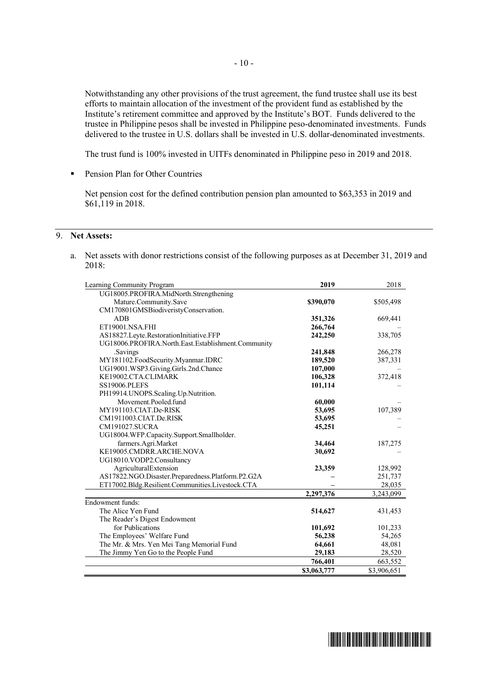Notwithstanding any other provisions of the trust agreement, the fund trustee shall use its best efforts to maintain allocation of the investment of the provident fund as established by the Institute's retirement committee and approved by the Institute's BOT. Funds delivered to the trustee in Philippine pesos shall be invested in Philippine peso-denominated investments. Funds delivered to the trustee in U.S. dollars shall be invested in U.S. dollar-denominated investments.

The trust fund is 100% invested in UITFs denominated in Philippine peso in 2019 and 2018.

§ Pension Plan for Other Countries

Net pension cost for the defined contribution pension plan amounted to \$63,353 in 2019 and \$61,119 in 2018.

## 9. **Net Assets:**

a. Net assets with donor restrictions consist of the following purposes as at December 31, 2019 and 2018:

| Learning Community Program                         | 2019        | 2018        |
|----------------------------------------------------|-------------|-------------|
| UG18005.PROFIRA.MidNorth.Strengthening             |             |             |
| Mature.Community.Save                              | \$390,070   | \$505,498   |
| CM170801GMSBiodiveristyConservation.               |             |             |
| <b>ADB</b>                                         | 351,326     | 669,441     |
| ET19001.NSA.FHI                                    | 266,764     |             |
| AS18827.Leyte.RestorationInitiative.FFP            | 242,250     | 338,705     |
| UG18006.PROFIRA.North.East.Establishment.Community |             |             |
| .Savings                                           | 241,848     | 266,278     |
| MY181102.FoodSecurity.Myanmar.IDRC                 | 189,520     | 387,331     |
| UG19001.WSP3.Giving.Girls.2nd.Chance               | 107,000     |             |
| KE19002.CTA.CLIMARK                                | 106,328     | 372,418     |
| <b>SS19006.PLEFS</b>                               | 101,114     |             |
| PH19914.UNOPS.Scaling.Up.Nutrition.                |             |             |
| Movement.Pooled.fund                               | 60,000      |             |
| MY191103.CIAT.De-RISK                              | 53,695      | 107,389     |
| CM1911003.CIAT.De.RISK                             | 53,695      |             |
| <b>CM191027.SUCRA</b>                              | 45,251      |             |
| UG18004.WFP.Capacity.Support.Smallholder.          |             |             |
| farmers.Agri.Market                                | 34,464      | 187,275     |
| KE19005.CMDRR.ARCHE.NOVA                           | 30,692      |             |
| UG18010.VODP2.Consultancy                          |             |             |
| AgriculturalExtension                              | 23,359      | 128,992     |
| AS17822.NGO.Disaster.Preparedness.Platform.P2.G2A  |             | 251,737     |
| ET17002.Bldg.Resilient.Communities.Livestock.CTA   |             | 28,035      |
|                                                    | 2,297,376   | 3,243,099   |
| Endowment funds:                                   |             |             |
| The Alice Yen Fund                                 | 514,627     | 431,453     |
| The Reader's Digest Endowment                      |             |             |
| for Publications                                   | 101,692     | 101,233     |
| The Employees' Welfare Fund                        | 56,238      | 54,265      |
| The Mr. & Mrs. Yen Mei Tang Memorial Fund          | 64,661      | 48,081      |
| The Jimmy Yen Go to the People Fund                | 29,183      | 28,520      |
|                                                    | 766,401     | 663,552     |
|                                                    | \$3,063,777 | \$3,906,651 |

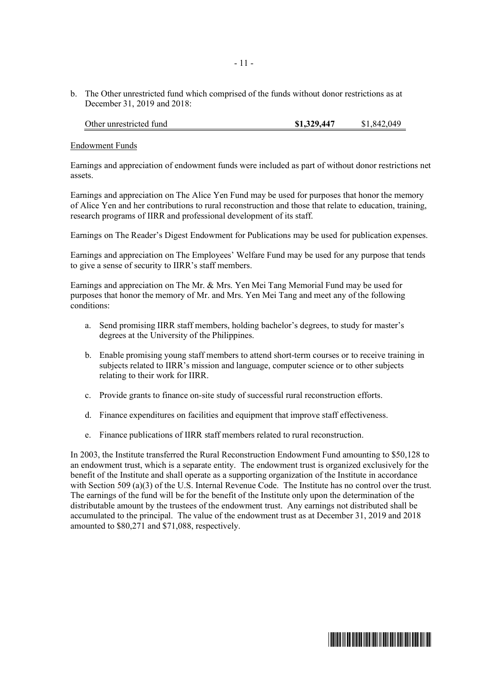b. The Other unrestricted fund which comprised of the funds without donor restrictions as at December 31, 2019 and 2018:

| Other unrestricted fund | \$1,329,447 | \$1,842,049 |
|-------------------------|-------------|-------------|
|-------------------------|-------------|-------------|

#### Endowment Funds

Earnings and appreciation of endowment funds were included as part of without donor restrictions net assets.

Earnings and appreciation on The Alice Yen Fund may be used for purposes that honor the memory of Alice Yen and her contributions to rural reconstruction and those that relate to education, training, research programs of IIRR and professional development of its staff.

Earnings on The Reader's Digest Endowment for Publications may be used for publication expenses.

Earnings and appreciation on The Employees' Welfare Fund may be used for any purpose that tends to give a sense of security to IIRR's staff members.

Earnings and appreciation on The Mr. & Mrs. Yen Mei Tang Memorial Fund may be used for purposes that honor the memory of Mr. and Mrs. Yen Mei Tang and meet any of the following conditions:

- a. Send promising IIRR staff members, holding bachelor's degrees, to study for master's degrees at the University of the Philippines.
- b. Enable promising young staff members to attend short-term courses or to receive training in subjects related to IIRR's mission and language, computer science or to other subjects relating to their work for IIRR.
- c. Provide grants to finance on-site study of successful rural reconstruction efforts.
- d. Finance expenditures on facilities and equipment that improve staff effectiveness.
- e. Finance publications of IIRR staff members related to rural reconstruction.

In 2003, the Institute transferred the Rural Reconstruction Endowment Fund amounting to \$50,128 to an endowment trust, which is a separate entity. The endowment trust is organized exclusively for the benefit of the Institute and shall operate as a supporting organization of the Institute in accordance with Section 509 (a)(3) of the U.S. Internal Revenue Code. The Institute has no control over the trust. The earnings of the fund will be for the benefit of the Institute only upon the determination of the distributable amount by the trustees of the endowment trust. Any earnings not distributed shall be accumulated to the principal. The value of the endowment trust as at December 31, 2019 and 2018 amounted to \$80,271 and \$71,088, respectively.

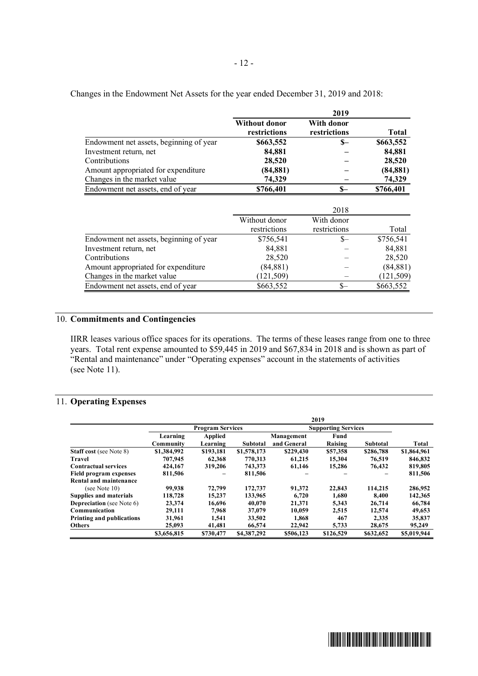|                                         |                                      | 2019                       |            |
|-----------------------------------------|--------------------------------------|----------------------------|------------|
|                                         | <b>Without donor</b><br>restrictions | With donor<br>restrictions | Total      |
| Endowment net assets, beginning of year | \$663,552                            | \$—                        | \$663,552  |
| Investment return, net                  | 84,881                               |                            | 84,881     |
| Contributions                           | 28,520                               |                            | 28,520     |
| Amount appropriated for expenditure     | (84, 881)                            |                            | (84, 881)  |
| Changes in the market value             | 74,329                               |                            | 74,329     |
| Endowment net assets, end of year       | \$766,401                            | \$—                        | \$766,401  |
|                                         |                                      |                            |            |
|                                         |                                      | 2018                       |            |
|                                         | Without donor                        | With donor                 |            |
|                                         | restrictions                         | restrictions               | Total      |
| Endowment net assets, beginning of year | \$756,541                            | S—                         | \$756,541  |
| Investment return, net                  | 84,881                               |                            | 84,881     |
| Contributions                           | 28,520                               |                            | 28,520     |
| Amount appropriated for expenditure     | (84, 881)                            |                            | (84, 881)  |
| Changes in the market value             | 121,509)                             |                            | (121, 509) |
| Endowment net assets, end of year       | \$663,552                            | \$—                        | \$663,552  |

Changes in the Endowment Net Assets for the year ended December 31, 2019 and 2018:

## 10. **Commitments and Contingencies**

IIRR leases various office spaces for its operations. The terms of these leases range from one to three years. Total rent expense amounted to \$59,445 in 2019 and \$67,834 in 2018 and is shown as part of "Rental and maintenance" under "Operating expenses" account in the statements of activities (see Note 11).

## 11. **Operating Expenses**

|                                  |             |                         |                 |             | 2019                       |           |             |
|----------------------------------|-------------|-------------------------|-----------------|-------------|----------------------------|-----------|-------------|
|                                  |             | <b>Program Services</b> |                 |             | <b>Supporting Services</b> |           |             |
|                                  | Learning    | <b>Applied</b>          |                 | Management  | Fund                       |           |             |
|                                  | Community   | Learning                | <b>Subtotal</b> | and General | Raising                    | Subtotal  | Total       |
| <b>Staff cost</b> (see Note 8)   | \$1,384,992 | \$193,181               | \$1,578,173     | \$229,430   | \$57,358                   | \$286,788 | \$1,864,961 |
| Travel                           | 707,945     | 62.368                  | 770.313         | 61.215      | 15.304                     | 76.519    | 846,832     |
| <b>Contractual services</b>      | 424,167     | 319,206                 | 743,373         | 61,146      | 15,286                     | 76.432    | 819,805     |
| Field program expenses           | 811,506     |                         | 811,506         |             |                            |           | 811,506     |
| Rental and maintenance           |             |                         |                 |             |                            |           |             |
| (see Note 10)                    | 99,938      | 72,799                  | 172,737         | 91.372      | 22,843                     | 114,215   | 286,952     |
| <b>Supplies and materials</b>    | 118,728     | 15,237                  | 133,965         | 6,720       | 1,680                      | 8,400     | 142,365     |
| <b>Depreciation</b> (see Note 6) | 23,374      | 16,696                  | 40,070          | 21,371      | 5,343                      | 26,714    | 66,784      |
| Communication                    | 29.111      | 7.968                   | 37,079          | 10.059      | 2.515                      | 12,574    | 49,653      |
| <b>Printing and publications</b> | 31,961      | 1.541                   | 33,502          | 1.868       | 467                        | 2.335     | 35,837      |
| <b>Others</b>                    | 25,093      | 41,481                  | 66,574          | 22,942      | 5,733                      | 28,675    | 95,249      |
|                                  | \$3,656,815 | \$730,477               | \$4,387,292     | \$506,123   | \$126,529                  | \$632,652 | \$5,019,944 |

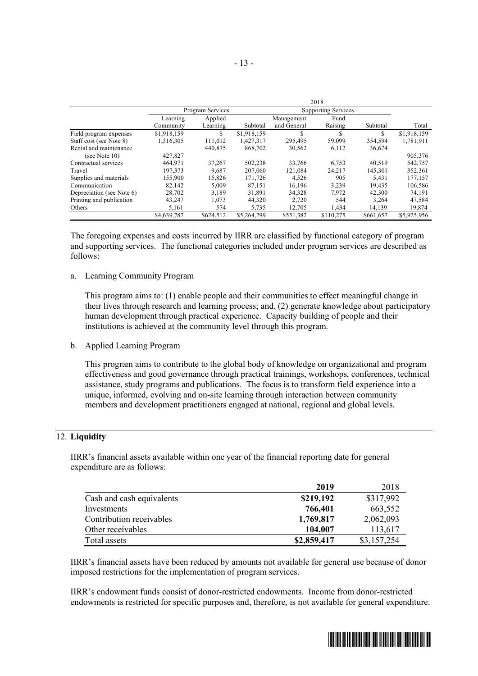|                           | 2018        |                  |             |             |                            |           |             |
|---------------------------|-------------|------------------|-------------|-------------|----------------------------|-----------|-------------|
|                           |             | Program Services |             |             | <b>Supporting Services</b> |           |             |
|                           | Learning    | Applied          |             | Management  | Fund                       |           |             |
|                           | Community   | Learning         | Subtotal    | and General | Raising                    | Subtotal  | Total       |
| Field program expenses    | \$1,918,159 | $S-$             | \$1,918,159 | $S-$        | $S-$                       | $S-$      | \$1,918,159 |
| Staff cost (see Note 8)   | 1,316,305   | 111,012          | 1,427,317   | 295.495     | 59,099                     | 354,594   | 1,781,911   |
| Rental and maintenance    |             | 440,875          | 868,702     | 30,562      | 6,112                      | 36,674    |             |
| (see Note $10$ )          | 427,827     |                  |             |             |                            |           | 905,376     |
| Contractual services      | 464,971     | 37,267           | 502,238     | 33.766      | 6,753                      | 40.519    | 542,757     |
| Travel                    | 197,373     | 9.687            | 207,060     | 121.084     | 24.217                     | 145.301   | 352,361     |
| Supplies and materials    | 155,900     | 15,826           | 171,726     | 4,526       | 905                        | 5,431     | 177,157     |
| Communication             | 82,142      | 5.009            | 87.151      | 16,196      | 3,239                      | 19.435    | 106,586     |
| Depreciation (see Note 6) | 28,702      | 3.189            | 31.891      | 34,328      | 7.972                      | 42,300    | 74,191      |
| Printing and publication  | 43,247      | 1,073            | 44,320      | 2,720       | 544                        | 3.264     | 47,584      |
| Others                    | 5,161       | 574              | 5,735       | 12,705      | 1,434                      | 14,139    | 19,874      |
|                           | \$4,639,787 | \$624,512        | \$5,264,299 | \$551.382   | \$110,275                  | \$661.657 | \$5,925,956 |

The foregoing expenses and costs incurred by IIRR are classified by functional category of program and supporting services. The functional categories included under program services are described as follows:

a. Learning Community Program

This program aims to: (1) enable people and their communities to effect meaningful change in their lives through research and learning process; and, (2) generate knowledge about participatory human development through practical experience. Capacity building of people and their institutions is achieved at the community level through this program.

b. Applied Learning Program

This program aims to contribute to the global body of knowledge on organizational and program effectiveness and good governance through practical trainings, workshops, conferences, technical assistance, study programs and publications. The focus is to transform field experience into a unique, informed, evolving and on-site learning through interaction between community members and development practitioners engaged at national, regional and global levels.

## 12. **Liquidity**

IIRR's financial assets available within one year of the financial reporting date for general expenditure are as follows:

|                           | 2019        | 2018        |
|---------------------------|-------------|-------------|
| Cash and cash equivalents | \$219,192   | \$317,992   |
| Investments               | 766,401     | 663,552     |
| Contribution receivables  | 1,769,817   | 2,062,093   |
| Other receivables         | 104,007     | 113,617     |
| Total assets              | \$2,859,417 | \$3,157,254 |

IIRR's financial assets have been reduced by amounts not available for general use because of donor imposed restrictions for the implementation of program services.

IIRR's endowment funds consist of donor-restricted endowments. Income from donor-restricted endowments is restricted for specific purposes and, therefore, is not available for general expenditure.

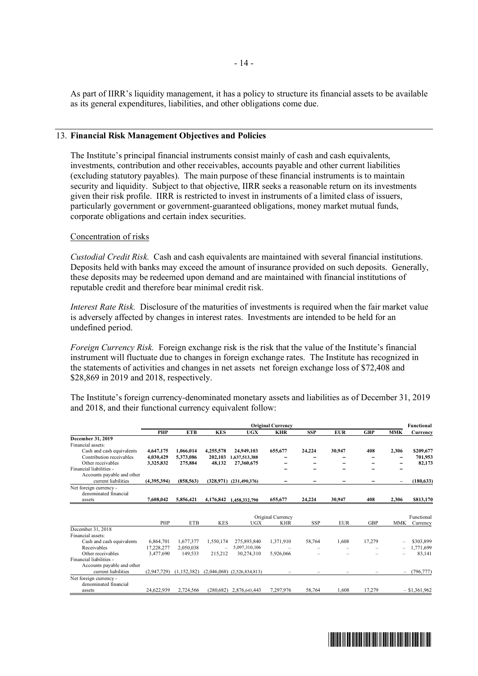As part of IIRR's liquidity management, it has a policy to structure its financial assets to be available as its general expenditures, liabilities, and other obligations come due.

#### 13. **Financial Risk Management Objectives and Policies**

The Institute's principal financial instruments consist mainly of cash and cash equivalents, investments, contribution and other receivables, accounts payable and other current liabilities (excluding statutory payables). The main purpose of these financial instruments is to maintain security and liquidity. Subject to that objective, IIRR seeks a reasonable return on its investments given their risk profile. IIRR is restricted to invest in instruments of a limited class of issuers, particularly government or government-guaranteed obligations, money market mutual funds, corporate obligations and certain index securities.

#### Concentration of risks

*Custodial Credit Risk.* Cash and cash equivalents are maintained with several financial institutions. Deposits held with banks may exceed the amount of insurance provided on such deposits. Generally, these deposits may be redeemed upon demand and are maintained with financial institutions of reputable credit and therefore bear minimal credit risk.

*Interest Rate Risk.* Disclosure of the maturities of investments is required when the fair market value is adversely affected by changes in interest rates. Investments are intended to be held for an undefined period.

*Foreign Currency Risk.* Foreign exchange risk is the risk that the value of the Institute's financial instrument will fluctuate due to changes in foreign exchange rates. The Institute has recognized in the statements of activities and changes in net assets net foreign exchange loss of \$72,408 and \$28,869 in 2019 and 2018, respectively.

The Institute's foreign currency-denominated monetary assets and liabilities as of December 31, 2019 and 2018, and their functional currency equivalent follow:

|                            | <b>Original Currency</b> |             |            |                                 |                                 |            |            | <b>Functional</b> |                          |                        |
|----------------------------|--------------------------|-------------|------------|---------------------------------|---------------------------------|------------|------------|-------------------|--------------------------|------------------------|
|                            | <b>PHP</b>               | <b>ETB</b>  | <b>KES</b> | <b>UGX</b>                      | <b>KHR</b>                      | <b>SSP</b> | <b>EUR</b> | <b>GBP</b>        | <b>MMK</b>               | Currency               |
| December 31, 2019          |                          |             |            |                                 |                                 |            |            |                   |                          |                        |
| Financial assets:          |                          |             |            |                                 |                                 |            |            |                   |                          |                        |
| Cash and cash equivalents  | 4,647,175                | 1.066.014   | 4.255.578  | 24,949,103                      | 655,677                         | 24,224     | 30,947     | 408               | 2,306                    | \$209,677              |
| Contribution receivables   | 4,030,429                | 5,373,086   | 202,103    | 1,637,513,388                   |                                 |            |            |                   |                          | 701,953                |
| Other receivables          | 3,325,832                | 275,884     | 48,132     | 27,360,675                      |                                 |            |            |                   |                          | 82,173                 |
| Financial liabilities -    |                          |             |            |                                 |                                 |            |            |                   |                          |                        |
| Accounts payable and other |                          |             |            |                                 |                                 |            |            |                   |                          |                        |
| current liabilities        | (4,395,394)              | (858, 563)  |            | $(328,971)$ $(231,490,376)$     | -                               |            |            |                   | -                        | (180, 633)             |
| Net foreign currency -     |                          |             |            |                                 |                                 |            |            |                   |                          |                        |
| denominated financial      |                          |             |            |                                 |                                 |            |            |                   |                          |                        |
| assets                     | 7,608,042                | 5,856,421   | 4,176,842  | 1.458.332.790                   | 655,677                         | 24,224     | 30,947     | 408               | 2,306                    | \$813,170              |
|                            | PHP                      | <b>ETB</b>  | <b>KES</b> | UGX                             | Original Currency<br><b>KHR</b> | <b>SSP</b> | <b>EUR</b> | <b>GBP</b>        | <b>MMK</b>               | Functional<br>Currency |
| December 31, 2018          |                          |             |            |                                 |                                 |            |            |                   |                          |                        |
| Financial assets:          |                          |             |            |                                 |                                 |            |            |                   |                          |                        |
| Cash and cash equivalents  | 6,864,701                | 1,677,377   | 1,550,174  | 275,893,840                     | 1,371,910                       | 58,764     | 1,608      | 17,279            |                          | \$303,899              |
| Receivables                | 17.228.277               | 2.050.038   |            | 5,097,310,106                   |                                 |            |            |                   |                          | 1,771,699              |
| Other receivables          | 3,477,690                | 149,533     | 215,212    | 30,274,310                      | 5,926,066                       |            |            |                   |                          | 83,141                 |
| Financial liabilities -    |                          |             |            |                                 |                                 |            |            |                   |                          |                        |
| Accounts payable and other |                          |             |            |                                 |                                 |            |            |                   |                          |                        |
| current liabilities        | (2,947,729)              | (1,152,382) |            | $(2,046,068)$ $(2,526,834,813)$ |                                 |            |            |                   | $\overline{\phantom{0}}$ | (796, 777)             |
| Net foreign currency -     |                          |             |            |                                 |                                 |            |            |                   |                          |                        |
| denominated financial      |                          |             |            |                                 |                                 |            |            |                   |                          |                        |
| assets                     | 24,622,939               | 2.724.566   | (280.682)  | 2,876,643,443                   | 7,297,976                       | 58.764     | 1,608      | 17,279            |                          | $-$ \$1,361,962        |

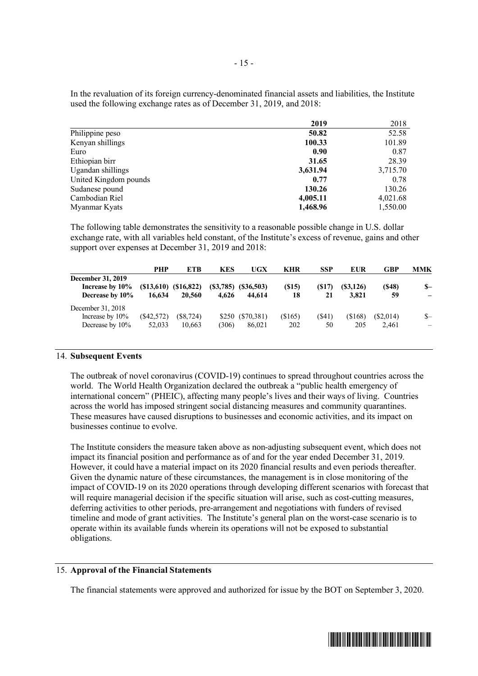In the revaluation of its foreign currency-denominated financial assets and liabilities, the Institute used the following exchange rates as of December 31, 2019, and 2018:

|                       | 2019     | 2018     |
|-----------------------|----------|----------|
| Philippine peso       | 50.82    | 52.58    |
| Kenyan shillings      | 100.33   | 101.89   |
| Euro                  | 0.90     | 0.87     |
| Ethiopian birr        | 31.65    | 28.39    |
| Ugandan shillings     | 3,631.94 | 3,715.70 |
| United Kingdom pounds | 0.77     | 0.78     |
| Sudanese pound        | 130.26   | 130.26   |
| Cambodian Riel        | 4,005.11 | 4,021.68 |
| Myanmar Kyats         | 1,468.96 | 1,550.00 |

The following table demonstrates the sensitivity to a reasonable possible change in U.S. dollar exchange rate, with all variables held constant, of the Institute's excess of revenue, gains and other support over expenses at December 31, 2019 and 2018:

|                                                                | PHP                    | <b>ETB</b>                        | <b>KES</b>        | UGX                  | <b>KHR</b>       | <b>SSP</b>  | EUR                | GBP                  | MMK                              |
|----------------------------------------------------------------|------------------------|-----------------------------------|-------------------|----------------------|------------------|-------------|--------------------|----------------------|----------------------------------|
| <b>December 31, 2019</b><br>Increase by 10%<br>Decrease by 10% | 16.634                 | $(S13,610)$ $(S16,822)$<br>20,560 | (S3,785)<br>4.626 | (S36,503)<br>44.614  | (S15)<br>18      | (S17)<br>21 | (S3, 126)<br>3.821 | (S48)<br>59          | $S-$                             |
| December 31, 2018<br>Increase by $10\%$<br>Decrease by 10%     | $(\$42,572)$<br>52,033 | $(\$8,724)$<br>10.663             | \$250<br>(306)    | (S70, 381)<br>86,021 | $(\$165)$<br>202 | (S41)<br>50 | ( \$168)<br>205    | $(\$2,014)$<br>2.461 | $S-$<br>$\overline{\phantom{0}}$ |

## 14. **Subsequent Events**

The outbreak of novel coronavirus (COVID-19) continues to spread throughout countries across the world. The World Health Organization declared the outbreak a "public health emergency of international concern" (PHEIC), affecting many people's lives and their ways of living. Countries across the world has imposed stringent social distancing measures and community quarantines. These measures have caused disruptions to businesses and economic activities, and its impact on businesses continue to evolve.

The Institute considers the measure taken above as non-adjusting subsequent event, which does not impact its financial position and performance as of and for the year ended December 31, 2019. However, it could have a material impact on its 2020 financial results and even periods thereafter. Given the dynamic nature of these circumstances, the management is in close monitoring of the impact of COVID-19 on its 2020 operations through developing different scenarios with forecast that will require managerial decision if the specific situation will arise, such as cost-cutting measures, deferring activities to other periods, pre-arrangement and negotiations with funders of revised timeline and mode of grant activities. The Institute's general plan on the worst-case scenario is to operate within its available funds wherein its operations will not be exposed to substantial obligations.

### 15. **Approval of the Financial Statements**

The financial statements were approved and authorized for issue by the BOT on September 3, 2020.

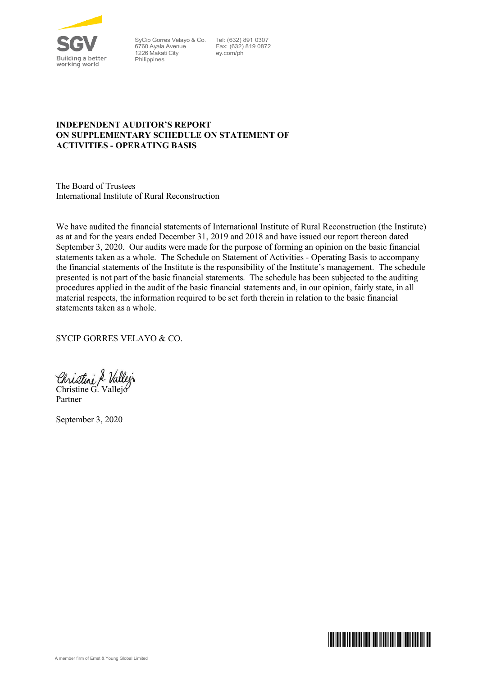

SyCip Gorres Velayo & Co. 6760 Ayala Avenue 1226 Makati City **Philippines** 

Tel: (632) 891 0307 Fax: (632) 819 0872 ey.com/ph

## **INDEPENDENT AUDITOR'S REPORT ON SUPPLEMENTARY SCHEDULE ON STATEMENT OF ACTIVITIES - OPERATING BASIS**

The Board of Trustees International Institute of Rural Reconstruction

We have audited the financial statements of International Institute of Rural Reconstruction (the Institute) as at and for the years ended December 31, 2019 and 2018 and have issued our report thereon dated September 3, 2020. Our audits were made for the purpose of forming an opinion on the basic financial statements taken as a whole. The Schedule on Statement of Activities - Operating Basis to accompany the financial statements of the Institute is the responsibility of the Institute's management. The schedule presented is not part of the basic financial statements. The schedule has been subjected to the auditing procedures applied in the audit of the basic financial statements and, in our opinion, fairly state, in all material respects, the information required to be set forth therein in relation to the basic financial statements taken as a whole.

SYCIP GORRES VELAYO & CO.

Christine & Vallej

Partner

September 3, 2020

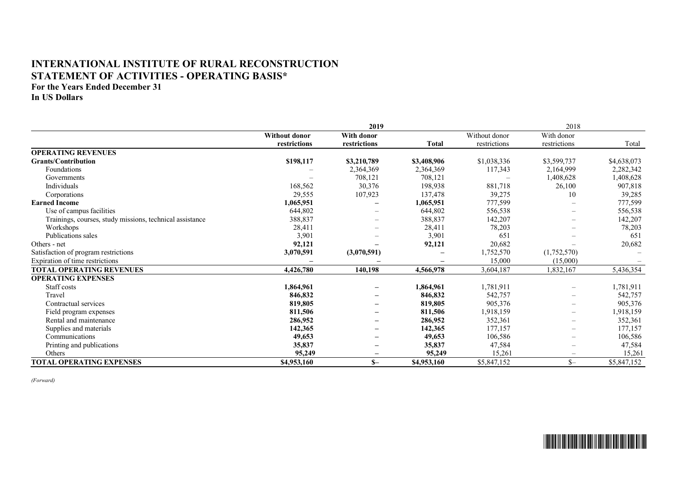## **INTERNATIONAL INSTITUTE OF RURAL RECONSTRUCTION STATEMENT OF ACTIVITIES - OPERATING BASIS\***

**For the Years Ended December 31**

**In US Dollars**

|                                                          |                      | 2019                     |              |               | 2018                     |             |
|----------------------------------------------------------|----------------------|--------------------------|--------------|---------------|--------------------------|-------------|
|                                                          | <b>Without donor</b> | With donor               |              | Without donor | With donor               |             |
|                                                          | restrictions         | restrictions             | <b>Total</b> | restrictions  | restrictions             | Total       |
| <b>OPERATING REVENUES</b>                                |                      |                          |              |               |                          |             |
| <b>Grants/Contribution</b>                               | \$198,117            | \$3,210,789              | \$3,408,906  | \$1,038,336   | \$3,599,737              | \$4,638,073 |
| Foundations                                              |                      | 2,364,369                | 2,364,369    | 117,343       | 2,164,999                | 2,282,342   |
| Governments                                              |                      | 708,121                  | 708,121      |               | 1,408,628                | 1,408,628   |
| Individuals                                              | 168,562              | 30,376                   | 198,938      | 881,718       | 26,100                   | 907,818     |
| Corporations                                             | 29,555               | 107,923                  | 137,478      | 39,275        | 10                       | 39,285      |
| <b>Earned Income</b>                                     | 1,065,951            |                          | 1,065,951    | 777,599       |                          | 777,599     |
| Use of campus facilities                                 | 644,802              |                          | 644,802      | 556,538       | $\overline{\phantom{m}}$ | 556,538     |
| Trainings, courses, study missions, technical assistance | 388,837              |                          | 388,837      | 142,207       |                          | 142,207     |
| Workshops                                                | 28,411               |                          | 28,411       | 78,203        |                          | 78,203      |
| Publications sales                                       | 3,901                |                          | 3,901        | 651           |                          | 651         |
| Others - net                                             | 92,121               |                          | 92,121       | 20,682        |                          | 20,682      |
| Satisfaction of program restrictions                     | 3,070,591            | (3,070,591)              |              | 1,752,570     | (1,752,570)              |             |
| Expiration of time restrictions                          |                      |                          |              | 15,000        | (15,000)                 |             |
| <b>TOTAL OPERATING REVENUES</b>                          | 4,426,780            | 140,198                  | 4,566,978    | 3,604,187     | 1,832,167                | 5,436,354   |
| <b>OPERATING EXPENSES</b>                                |                      |                          |              |               |                          |             |
| Staff costs                                              | 1,864,961            | $\overline{\phantom{0}}$ | 1,864,961    | 1,781,911     |                          | 1,781,911   |
| Travel                                                   | 846,832              |                          | 846,832      | 542,757       |                          | 542,757     |
| Contractual services                                     | 819,805              |                          | 819,805      | 905,376       | $\overline{\phantom{0}}$ | 905,376     |
| Field program expenses                                   | 811,506              |                          | 811,506      | 1,918,159     | $\overline{\phantom{m}}$ | 1,918,159   |
| Rental and maintenance                                   | 286,952              | $\overline{\phantom{0}}$ | 286,952      | 352,361       | $\overline{\phantom{m}}$ | 352,361     |
| Supplies and materials                                   | 142,365              | $\overline{\phantom{0}}$ | 142,365      | 177,157       | $\overline{\phantom{m}}$ | 177,157     |
| Communications                                           | 49,653               |                          | 49,653       | 106,586       | $\overline{\phantom{m}}$ | 106,586     |
| Printing and publications                                | 35,837               | -                        | 35,837       | 47,584        |                          | 47,584      |
| Others                                                   | 95,249               |                          | 95,249       | 15,261        |                          | 15,261      |
| <b>TOTAL OPERATING EXPENSES</b>                          | \$4,953,160          | $S-$                     | \$4,953,160  | \$5,847,152   | $S-$                     | \$5,847,152 |

*(Forward)*